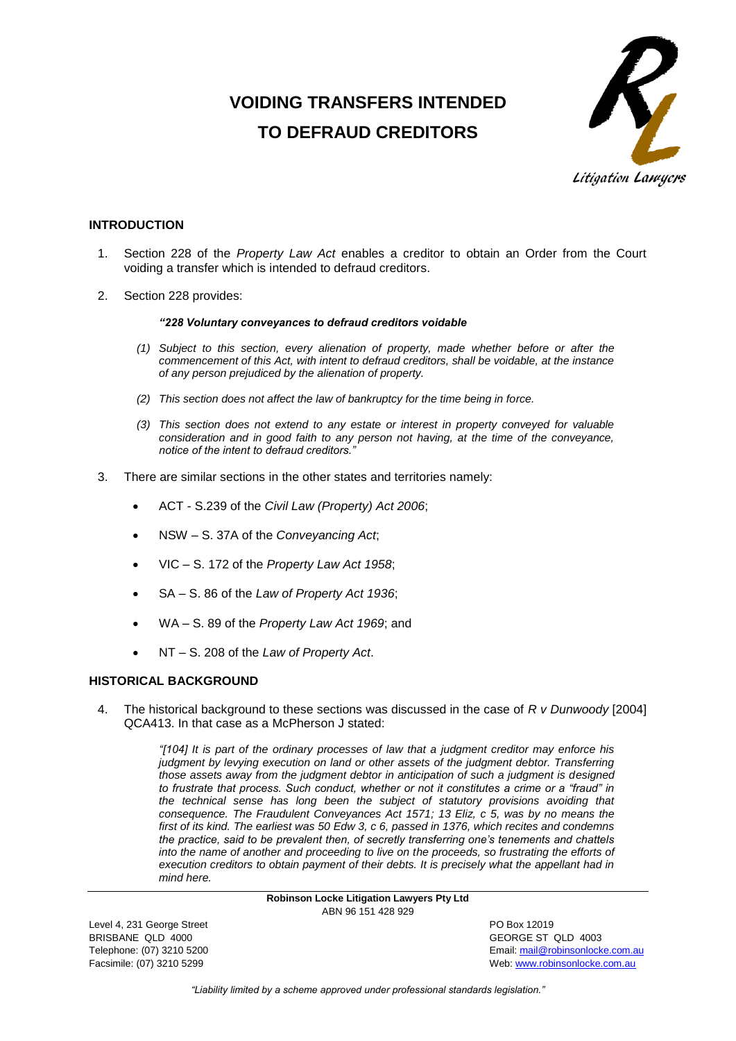# **VOIDING TRANSFERS INTENDED TO DEFRAUD CREDITORS**



# **INTRODUCTION**

- 1. Section 228 of the *Property Law Act* enables a creditor to obtain an Order from the Court voiding a transfer which is intended to defraud creditors.
- 2. Section 228 provides:

# *"228 Voluntary conveyances to defraud creditors voidable*

- *(1) Subject to this section, every alienation of property, made whether before or after the commencement of this Act, with intent to defraud creditors, shall be voidable, at the instance of any person prejudiced by the alienation of property.*
- *(2) This section does not affect the law of bankruptcy for the time being in force.*
- *(3) This section does not extend to any estate or interest in property conveyed for valuable consideration and in good faith to any person not having, at the time of the conveyance, notice of the intent to defraud creditors."*
- 3. There are similar sections in the other states and territories namely:
	- ACT S.239 of the *Civil Law (Property) Act 2006*;
	- NSW S. 37A of the *Conveyancing Act*;
	- VIC S. 172 of the *Property Law Act 1958*;
	- SA S. 86 of the *Law of Property Act 1936*;
	- WA S. 89 of the *Property Law Act 1969*; and
	- NT S. 208 of the *Law of Property Act*.

# **HISTORICAL BACKGROUND**

4. The historical background to these sections was discussed in the case of *R v Dunwoody* [2004] QCA413. In that case as a McPherson J stated:

> *"[104] It is part of the ordinary processes of law that a judgment creditor may enforce his judgment by levying execution on land or other assets of the judgment debtor. Transferring those assets away from the judgment debtor in anticipation of such a judgment is designed to frustrate that process. Such conduct, whether or not it constitutes a crime or a "fraud" in the technical sense has long been the subject of statutory provisions avoiding that consequence. The Fraudulent Conveyances Act 1571; 13 Eliz, c 5, was by no means the first of its kind. The earliest was 50 Edw 3, c 6, passed in 1376, which recites and condemns the practice, said to be prevalent then, of secretly transferring one's tenements and chattels into the name of another and proceeding to live on the proceeds, so frustrating the efforts of execution creditors to obtain payment of their debts. It is precisely what the appellant had in mind here.*

> > **Robinson Locke Litigation Lawyers Pty Ltd** ABN 96 151 428 929

Level 4, 231 George Street **PO Box 12019** BRISBANE QLD 4000 GEORGE ST QLD 4003

Telephone: (07) 3210 5200 Email[: mail@robinsonlocke.com.au](mailto:mail@robinsonlocke.com.au) Facsimile: (07) 3210 5299 Web: [www.robinsonlocke.com.au](http://www.robinsonlocke.com.au/)

*"Liability limited by a scheme approved under professional standards legislation."*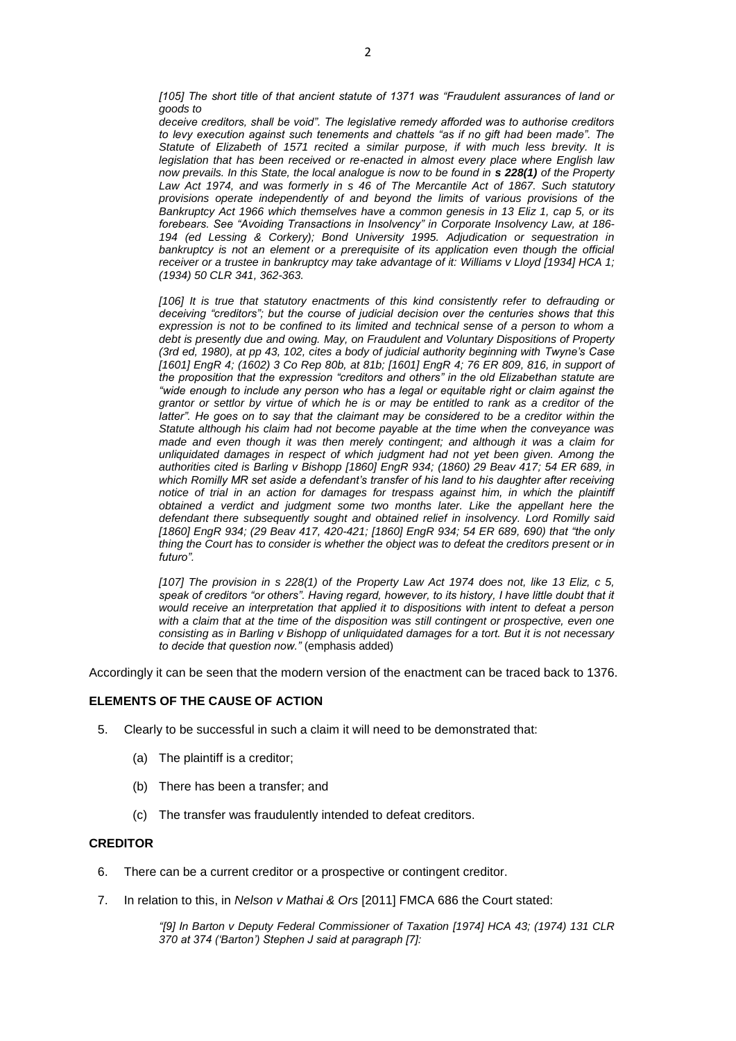*[105] The short title of that ancient statute of 1371 was "Fraudulent assurances of land or goods to* 

*deceive creditors, shall be void". The legislative remedy afforded was to authorise creditors to levy execution against such tenements and chattels "as if no gift had been made". The Statute of Elizabeth of 1571 recited a similar purpose, if with much less brevity. It is legislation that has been received or re-enacted in almost every place where English law now prevails. In this State, the local analogue is now to be found in [s 228\(1\)](http://www.austlii.edu.au/au/legis/qld/consol_act/pla1974179/s228.html) of the Property [Law Act 1974,](http://www.austlii.edu.au/au/legis/qld/consol_act/pla1974179/) and was formerly in s 46 of The Mercantile Act of 1867. Such statutory provisions operate independently of and beyond the limits of various provisions of the [Bankruptcy Act 1966](http://www.austlii.edu.au/au/legis/cth/consol_act/ba1966142/) which themselves have a common genesis in 13 Eliz 1, cap 5, or its forebears. See "Avoiding Transactions in Insolvency" in Corporate Insolvency Law, at 186- 194 (ed Lessing & Corkery); Bond University 1995. Adjudication or sequestration in*  bankruptcy is not an element or a prerequisite of its application even though the official *receiver or a trustee in bankruptcy may take advantage of it: Williams v Lloyd [\[1934\] HCA 1;](http://www.austlii.edu.au/au/cases/cth/HCA/1934/1.html) [\(1934\) 50 CLR 341,](http://www.austlii.edu.au/cgi-bin/LawCite?cit=%281934%29%2050%20CLR%20341?stem=0&synonyms=0&query=pla1974179%20s228) 362-363.*

*[106] It is true that statutory enactments of this kind consistently refer to defrauding or deceiving "creditors"; but the course of judicial decision over the centuries shows that this expression is not to be confined to its limited and technical sense of a person to whom a debt is presently due and owing. May, on Fraudulent and Voluntary Dispositions of Property (3rd ed, 1980), at pp 43, 102, cites a body of judicial authority beginning with Twyne's Case [\[1601\] EngR 4;](http://www.worldlii.org/int/cases/EngR/1601/4.html) [\(1602\) 3 Co Rep 80b,](http://www.austlii.edu.au/cgi-bin/LawCite?cit=%281602%29%203%20Co%20Rep%2080?stem=0&synonyms=0&query=pla1974179%20s228) at 81b; [\[1601\] EngR 4;](http://www.worldlii.org/int/cases/EngR/1601/4.html) [76 ER 809,](http://www.austlii.edu.au/cgi-bin/LawCite?cit=76%20ER%20809?stem=0&synonyms=0&query=pla1974179%20s228) 816, in support of the proposition that the expression "creditors and others" in the old Elizabethan statute are "wide enough to include any person who has a legal or equitable right or claim against the grantor or settlor by virtue of which he is or may be entitled to rank as a creditor of the latter*". He goes on to say that the claimant may be considered to be a creditor within the *Statute although his claim had not become payable at the time when the conveyance was made and even though it was then merely contingent; and although it was a claim for unliquidated damages in respect of which judgment had not yet been given. Among the authorities cited is Barling v Bishopp [\[1860\] EngR 934;](http://www.worldlii.org/int/cases/EngR/1860/934.html) [\(1860\) 29 Beav 417;](http://www.austlii.edu.au/cgi-bin/LawCite?cit=%281860%29%2029%20Beav%20417?stem=0&synonyms=0&query=pla1974179%20s228) [54 ER 689,](http://www.austlii.edu.au/cgi-bin/LawCite?cit=54%20ER%20689?stem=0&synonyms=0&query=pla1974179%20s228) in which Romilly MR set aside a defendant's transfer of his land to his daughter after receiving*  notice of trial in an action for damages for trespass against him, in which the plaintiff *obtained a verdict and judgment some two months later. Like the appellant here the defendant there subsequently sought and obtained relief in insolvency. Lord Romilly said [\[1860\] EngR 934;](http://www.worldlii.org/int/cases/EngR/1860/934.html) [\(29 Beav 417,](http://www.austlii.edu.au/cgi-bin/LawCite?cit=29%20Beav%20417?stem=0&synonyms=0&query=pla1974179%20s228) 420-421; [\[1860\] EngR 934;](http://www.worldlii.org/int/cases/EngR/1860/934.html) [54 ER 689,](http://www.austlii.edu.au/cgi-bin/LawCite?cit=54%20ER%20689?stem=0&synonyms=0&query=pla1974179%20s228) 690) that "the only thing the Court has to consider is whether the object was to defeat the creditors present or in futuro".*

*[107] The provision in [s 228\(1\)](http://www.austlii.edu.au/au/legis/qld/consol_act/pla1974179/s228.html) of the [Property Law Act 1974](http://www.austlii.edu.au/au/legis/qld/consol_act/pla1974179/) does not, like 13 Eliz, c 5,*  speak of creditors "or others". Having regard, however, to its history, I have little doubt that it *would receive an interpretation that applied it to dispositions with intent to defeat a person with a claim that at the time of the disposition was still contingent or prospective, even one consisting as in Barling v Bishopp of unliquidated damages for a tort. But it is not necessary to decide that question now."* (emphasis added)

Accordingly it can be seen that the modern version of the enactment can be traced back to 1376.

# **ELEMENTS OF THE CAUSE OF ACTION**

- 5. Clearly to be successful in such a claim it will need to be demonstrated that:
	- (a) The plaintiff is a creditor;
	- (b) There has been a transfer; and
	- (c) The transfer was fraudulently intended to defeat creditors.

## **CREDITOR**

- 6. There can be a current creditor or a prospective or contingent creditor.
- 7. In relation to this, in *Nelson v Mathai & Ors* [2011] FMCA 686 the Court stated:

*"[9] In Barton v Deputy Federal Commissioner of Taxation [\[1974\] HCA 43;](http://www.austlii.edu.au/au/cases/cth/HCA/1974/43.html) [\(1974\) 131 CLR](http://www.austlii.edu.au/cgi-bin/LawCite?cit=%281974%29%20131%20CLR%20370?stem=0&synonyms=0&query=pla1974179%20s228)  [370](http://www.austlii.edu.au/cgi-bin/LawCite?cit=%281974%29%20131%20CLR%20370?stem=0&synonyms=0&query=pla1974179%20s228) at 374 ('Barton') Stephen J said at paragraph [7]:*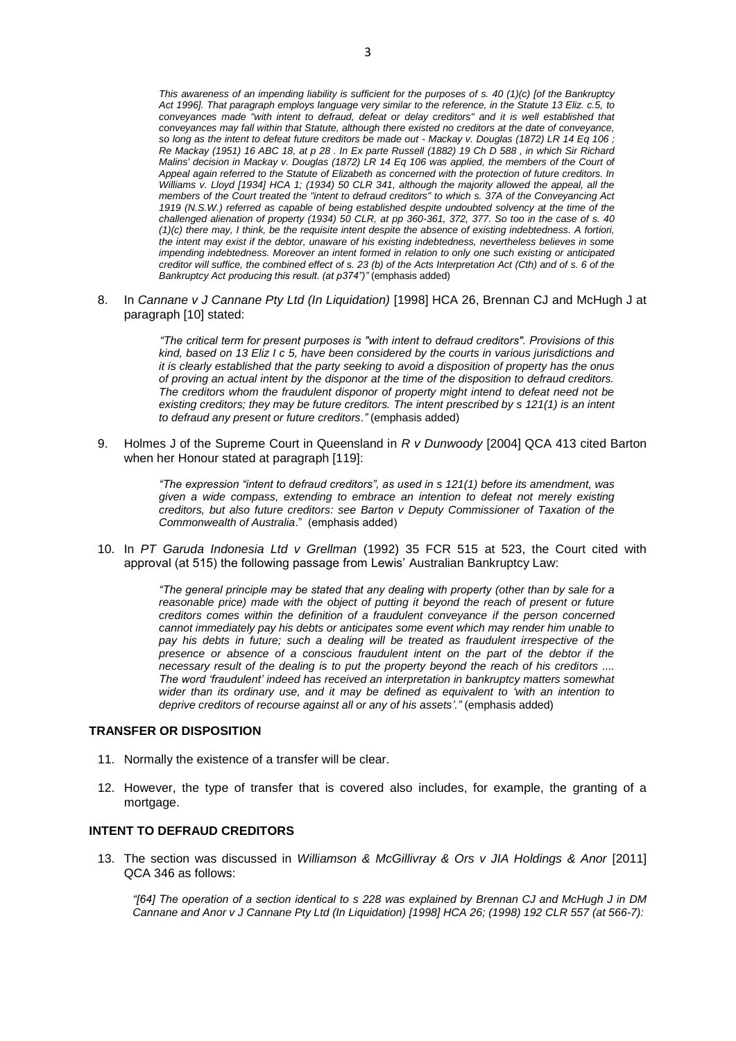*This awareness of an impending liability is sufficient for the purposes of [s. 40](http://www.austlii.edu.au/au/legis/qld/consol_act/pla1974179/s40.html) (1)(c) [of the Bankruptcy Act 1996]. That paragraph employs language very similar to the reference, in the Statute 13 Eliz. c.5, to conveyances made "with intent to defraud, defeat or delay creditors" and it is well established that conveyances may fall within that Statute, although there existed no creditors at the date of conveyance, so long as the intent to defeat future creditors be made out - Mackay v. Douglas [\(1872\) LR 14 Eq 106](http://www.austlii.edu.au/cgi-bin/LawCite?cit=%281872%29%20LR%2014%20Eq%20106?stem=0&synonyms=0&query=pla1974179%20s228) ; Re Mackay [\(1951\) 16 ABC 18,](http://www.austlii.edu.au/cgi-bin/LawCite?cit=%281951%29%2016%20ABC%2018?stem=0&synonyms=0&query=pla1974179%20s228) at p 28 . In Ex parte Russell [\(1882\) 19 Ch D 588](http://www.austlii.edu.au/cgi-bin/LawCite?cit=%281882%29%2019%20Ch%20D%20588?stem=0&synonyms=0&query=pla1974179%20s228) , in which Sir Richard Malins' decision in Mackay v. Douglas [\(1872\) LR 14 Eq 106](http://www.austlii.edu.au/cgi-bin/LawCite?cit=%281872%29%20LR%2014%20Eq%20106?stem=0&synonyms=0&query=pla1974179%20s228) was applied, the members of the Court of Appeal again referred to the Statute of Elizabeth as concerned with the protection of future creditors. In Williams v. Lloyd [\[1934\] HCA 1;](http://www.austlii.edu.au/au/cases/cth/HCA/1934/1.html) [\(1934\) 50 CLR 341,](http://www.austlii.edu.au/cgi-bin/LawCite?cit=%281934%29%2050%20CLR%20341?stem=0&synonyms=0&query=pla1974179%20s228) although the majority allowed the appeal, all the members of the Court treated the "intent to defraud creditors" to whic[h s. 37A](http://www.austlii.edu.au/au/legis/nsw/consol_act/ca1919141/s37a.html) of the [Conveyancing Act](http://www.austlii.edu.au/au/legis/nsw/consol_act/ca1919141/)  [1919](http://www.austlii.edu.au/au/legis/nsw/consol_act/ca1919141/) (N.S.W.) referred as capable of being established despite undoubted solvency at the time of the challenged alienation of property (1934) 50 CLR, at pp 360-361, 372, 377. So too in the case of [s. 40](http://www.austlii.edu.au/au/legis/nsw/consol_act/ca1919141/s40.html) (1)(c) there may, I think, be the requisite intent despite the absence of existing indebtedness. A fortiori, the intent may exist if the debtor, unaware of his existing indebtedness, nevertheless believes in some impending indebtedness. Moreover an intent formed in relation to only one such existing or anticipated creditor will suffice, the combined effect of s. 23 (b) of the Acts Interpretation Act (Cth) and of s. 6 of the Bankruptcy Act producing this result. (at p374")"* (emphasis added)

8. In *Cannane v J Cannane Pty Ltd (In Liquidation)* [\[1998\] HCA 26,](http://www.austlii.edu.au/au/cases/cth/HCA/1998/26.html) Brennan CJ and McHugh J at paragraph [10] stated:

> *"The critical term for present purposes is "with intent to defraud creditors". Provisions of this kind, based on 13 Eliz I c 5, have been considered by the courts in various jurisdictions and it is clearly established that the party seeking to avoid a disposition of property has the onus of proving an actual intent by the disponor at the time of the disposition to defraud creditors. The creditors whom the fraudulent disponor of property might intend to defeat need not be existing creditors; they may be future creditors. The intent prescribed by [s 121\(1\)](http://www.austlii.edu.au/au/legis/cth/consol_act/ba1966142/s121.html) is an intent to defraud any present or future creditors."* (emphasis added)

9. Holmes J of the Supreme Court in Queensland in *R v Dunwoody* [\[2004\] QCA 413](http://www.austlii.edu.au/au/cases/qld/QCA/2004/413.html) cited Barton when her Honour stated at paragraph [119]:

> *"The expression "intent to defraud creditors", as used in [s 121\(1\)](http://www.austlii.edu.au/au/legis/cth/consol_act/ba1966142/s121.html) before its amendment, was given a wide compass, extending to embrace an intention to defeat not merely existing creditors, but also future creditors: see Barton v Deputy Commissioner of Taxation of the Commonwealth of Australia*." (emphasis added)

10. In *PT Garuda Indonesia Ltd v Grellman* [\(1992\) 35 FCR 515](http://www.austlii.edu.au/cgi-bin/LawCite?cit=%281992%29%2035%20FCR%20515?stem=0&synonyms=0&query=pla1974179%20s228) at 523, the Court cited with approval (at 515) the following passage from Lewis' Australian Bankruptcy Law:

> *"The general principle may be stated that any dealing with property (other than by sale for a reasonable price) made with the object of putting it beyond the reach of present or future creditors comes within the definition of a fraudulent conveyance if the person concerned cannot immediately pay his debts or anticipates some event which may render him unable to pay his debts in future; such a dealing will be treated as fraudulent irrespective of the presence or absence of a conscious fraudulent intent on the part of the debtor if the necessary result of the dealing is to put the property beyond the reach of his creditors .... The word 'fraudulent' indeed has received an interpretation in bankruptcy matters somewhat wider than its ordinary use, and it may be defined as equivalent to 'with an intention to deprive creditors of recourse against all or any of his assets'."* (emphasis added)

#### **TRANSFER OR DISPOSITION**

- 11. Normally the existence of a transfer will be clear.
- 12. However, the type of transfer that is covered also includes, for example, the granting of a mortgage.

# **INTENT TO DEFRAUD CREDITORS**

13. The section was discussed in *Williamson & McGillivray & Ors v JIA Holdings & Anor* [2011] QCA 346 as follows:

*"[64] The operation of a section identical to [s 228](http://www.austlii.edu.au/au/legis/qld/consol_act/pla1974179/s228.html) was explained by Brennan CJ and McHugh J in DM Cannane and Anor v J Cannane Pty Ltd (In Liquidation) [\[1998\] HCA 26;](http://www.austlii.edu.au/au/cases/cth/HCA/1998/26.html) [\(1998\) 192 CLR 557](http://www.austlii.edu.au/cgi-bin/LawCite?cit=%281998%29%20192%20CLR%20557?stem=0&synonyms=0&query=pla1974179%20s228) (at 566-7):*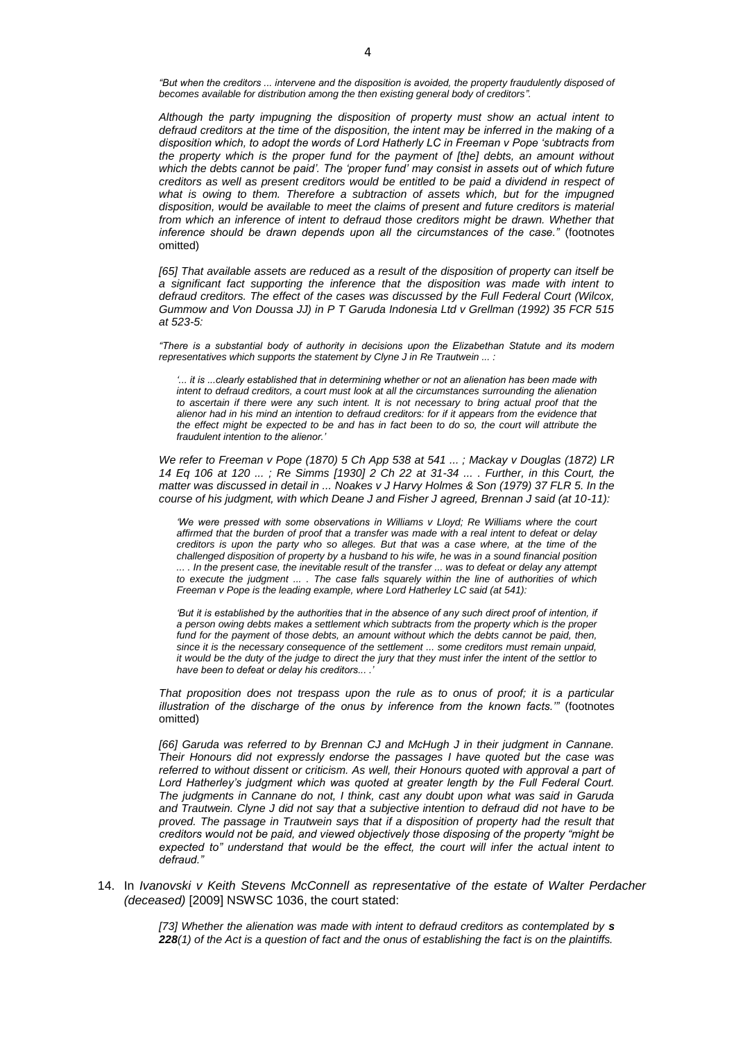*"But when the creditors ... intervene and the disposition is avoided, the property fraudulently disposed of becomes available for distribution among the then existing general body of creditors".*

*Although the party impugning the disposition of property must show an actual intent to defraud creditors at the time of the disposition, the intent may be inferred in the making of a disposition which, to adopt the words of Lord Hatherly LC in Freeman v Pope 'subtracts from the property which is the proper fund for the payment of [the] debts, an amount without which the debts cannot be paid'. The 'proper fund' may consist in assets out of which future creditors as well as present creditors would be entitled to be paid a dividend in respect of what is owing to them. Therefore a subtraction of assets which, but for the impugned disposition, would be available to meet the claims of present and future creditors is material*  from which an inference of intent to defraud those creditors might be drawn. Whether that *inference should be drawn depends upon all the circumstances of the case."* (footnotes omitted)

*[65] That available assets are reduced as a result of the disposition of property can itself be a significant fact supporting the inference that the disposition was made with intent to defraud creditors. The effect of the cases was discussed by the Full Federal Court (Wilcox, Gummow and Von Doussa JJ) in P T Garuda Indonesia Ltd v Grellman (1992) 35 FCR 515 at 523-5:*

*"There is a substantial body of authority in decisions upon the Elizabethan Statute and its modern representatives which supports the statement by Clyne J in Re Trautwein ... :*

*'... it is ...clearly established that in determining whether or not an alienation has been made with intent to defraud creditors, a court must look at all the circumstances surrounding the alienation to ascertain if there were any such intent. It is not necessary to bring actual proof that the alienor had in his mind an intention to defraud creditors: for if it appears from the evidence that the effect might be expected to be and has in fact been to do so, the court will attribute the fraudulent intention to the alienor.'*

*We refer to Freeman v Pope [\(1870\) 5 Ch App 538](http://www.austlii.edu.au/cgi-bin/LawCite?cit=%281870%29%205%20LRCh%20App%20538?stem=0&synonyms=0&query=pla1974179%20s228) at 541 ... ; Mackay v Douglas [\(1872\) LR](http://www.austlii.edu.au/cgi-bin/LawCite?cit=%281872%29%20LR%2014%20Eq%20106?stem=0&synonyms=0&query=pla1974179%20s228)  [14 Eq 106](http://www.austlii.edu.au/cgi-bin/LawCite?cit=%281872%29%20LR%2014%20Eq%20106?stem=0&synonyms=0&query=pla1974179%20s228) at 120 ... ; Re Simms [\[1930\] 2 Ch 22](http://www.austlii.edu.au/cgi-bin/LawCite?cit=%5b1930%5d%202%20Ch%2022?stem=0&synonyms=0&query=pla1974179%20s228) at 31-34 ... . Further, in this Court, the matter was discussed in detail in ... Noakes v J Harvy Holmes & Son (1979) 37 FLR 5. In the course of his judgment, with which Deane J and Fisher J agreed, Brennan J said (at 10-11):*

*'We were pressed with some observations in Williams v Lloyd; Re Williams where the court affirmed that the burden of proof that a transfer was made with a real intent to defeat or delay creditors is upon the party who so alleges. But that was a case where, at the time of the challenged disposition of property by a husband to his wife, he was in a sound financial position ... . In the present case, the inevitable result of the transfer ... was to defeat or delay any attempt to execute the judgment ... . The case falls squarely within the line of authorities of which Freeman v Pope is the leading example, where Lord Hatherley LC said (at 541):*

'But it is established by the authorities that in the absence of any such direct proof of intention, if *a person owing debts makes a settlement which subtracts from the property which is the proper fund for the payment of those debts, an amount without which the debts cannot be paid, then, since it is the necessary consequence of the settlement ... some creditors must remain unpaid, it would be the duty of the judge to direct the jury that they must infer the intent of the settlor to have been to defeat or delay his creditors... .'*

*That proposition does not trespass upon the rule as to onus of proof; it is a particular illustration of the discharge of the onus by inference from the known facts.'"* (footnotes omitted)

*[66] Garuda was referred to by Brennan CJ and McHugh J in their judgment in Cannane. Their Honours did not expressly endorse the passages I have quoted but the case was referred to without dissent or criticism. As well, their Honours quoted with approval a part of Lord Hatherley's judgment which was quoted at greater length by the Full Federal Court. The judgments in Cannane do not, I think, cast any doubt upon what was said in Garuda and Trautwein. Clyne J did not say that a subjective intention to defraud did not have to be proved. The passage in Trautwein says that if a disposition of property had the result that creditors would not be paid, and viewed objectively those disposing of the property "might be expected to" understand that would be the effect, the court will infer the actual intent to defraud."*

14. In *Ivanovski v Keith Stevens McConnell as representative of the estate of Walter Perdacher (deceased)* [2009] NSWSC 1036, the court stated:

> *[73] Whether the alienation was made with intent to defraud creditors as contemplated by [s](http://www.austlii.edu.au/au/legis/qld/consol_act/pla1974179/s228.html)  [228](http://www.austlii.edu.au/au/legis/qld/consol_act/pla1974179/s228.html)(1) of the Act is a question of fact and the onus of establishing the fact is on the plaintiffs.*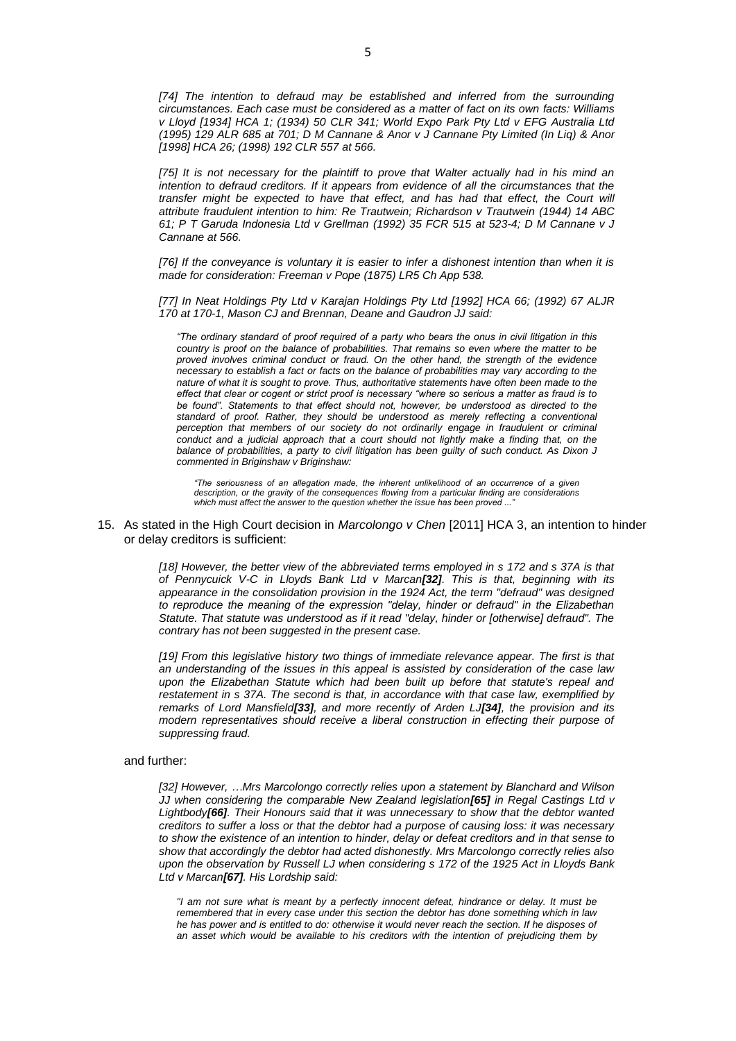[74] The intention to defraud may be established and inferred from the surrounding *circumstances. Each case must be considered as a matter of fact on its own facts: Williams v Lloyd [\[1934\] HCA 1;](http://www.austlii.edu.au/au/cases/cth/HCA/1934/1.html) [\(1934\) 50 CLR 341;](http://www.austlii.edu.au/cgi-bin/LawCite?cit=%281934%29%2050%20CLR%20341?stem=0&synonyms=0&query=pla1974179%20s228) World Expo Park Pty Ltd v EFG Australia Ltd [\(1995\) 129 ALR 685](http://www.austlii.edu.au/cgi-bin/LawCite?cit=%281995%29%20129%20ALR%20685?stem=0&synonyms=0&query=pla1974179%20s228) at 701; D M Cannane & Anor v J Cannane Pty Limited (In Liq) & Anor [\[1998\] HCA 26;](http://www.austlii.edu.au/au/cases/cth/HCA/1998/26.html) [\(1998\) 192 CLR 557](http://www.austlii.edu.au/cgi-bin/LawCite?cit=%281998%29%20192%20CLR%20557?stem=0&synonyms=0&query=pla1974179%20s228) at 566.* 

*[75] It is not necessary for the plaintiff to prove that Walter actually had in his mind an intention to defraud creditors. If it appears from evidence of all the circumstances that the*  transfer might be expected to have that effect, and has had that effect, the Court will *attribute fraudulent intention to him: Re Trautwein; Richardson v Trautwein [\(1944\) 14 ABC](http://www.austlii.edu.au/cgi-bin/LawCite?cit=%281944%29%2014%20ABC%2061?stem=0&synonyms=0&query=pla1974179%20s228)  [61;](http://www.austlii.edu.au/cgi-bin/LawCite?cit=%281944%29%2014%20ABC%2061?stem=0&synonyms=0&query=pla1974179%20s228) P T Garuda Indonesia Ltd v Grellman [\(1992\) 35 FCR 515](http://www.austlii.edu.au/cgi-bin/LawCite?cit=%281992%29%2035%20FCR%20515?stem=0&synonyms=0&query=pla1974179%20s228) at 523-4; D M Cannane v J Cannane at 566.*

*[76] If the conveyance is voluntary it is easier to infer a dishonest intention than when it is made for consideration: Freeman v Pope (1875) LR5 Ch App 538.* 

*[77] In Neat Holdings Pty Ltd v Karajan Holdings Pty Ltd [\[1992\] HCA 66;](http://www.austlii.edu.au/au/cases/cth/HCA/1992/66.html) [\(1992\) 67 ALJR](http://www.austlii.edu.au/cgi-bin/LawCite?cit=%281992%29%2067%20ALJR%20170?stem=0&synonyms=0&query=pla1974179%20s228)  [170](http://www.austlii.edu.au/cgi-bin/LawCite?cit=%281992%29%2067%20ALJR%20170?stem=0&synonyms=0&query=pla1974179%20s228) at 170-1, Mason CJ and Brennan, Deane and Gaudron JJ said:* 

*"The ordinary standard of proof required of a party who bears the onus in civil litigation in this country is proof on the balance of probabilities. That remains so even where the matter to be proved involves criminal conduct or fraud. On the other hand, the strength of the evidence necessary to establish a fact or facts on the balance of probabilities may vary according to the nature of what it is sought to prove. Thus, authoritative statements have often been made to the effect that clear or cogent or strict proof is necessary "where so serious a matter as fraud is to*  be found". Statements to that effect should not, however, be understood as directed to the *standard of proof. Rather, they should be understood as merely reflecting a conventional*  perception that members of our society do not ordinarily engage in fraudulent or criminal *conduct and a judicial approach that a court should not lightly make a finding that, on the balance of probabilities, a party to civil litigation has been guilty of such conduct. As Dixon J commented in Briginshaw v Briginshaw:*

*"The seriousness of an allegation made, the inherent unlikelihood of an occurrence of a given description, or the gravity of the consequences flowing from a particular finding are considerations which must affect the answer to the question whether the issue has been proved ..."*

15. As stated in the High Court decision in *Marcolongo v Chen* [2011] HCA 3, an intention to hinder or delay creditors is sufficient:

> [18] However, the better view of the abbreviated terms employed in s 172 and s 37A is that *of Pennycuick V-C in Lloyds Bank Ltd v Marcan[\[32\]](http://www.austlii.edu.au/au/cases/cth/HCA/2011/3.html#fn32). This is that, beginning with its appearance in the consolidation provision in the 1924 Act, the term "defraud" was designed*  to reproduce the meaning of the expression "delay, hinder or defraud" in the Elizabethan *Statute. That statute was understood as if it read "delay, hinder or [otherwise] defraud". The contrary has not been suggested in the present case.*

> *[19] From this legislative history two things of immediate relevance appear. The first is that an understanding of the issues in this appeal is assisted by consideration of the case law upon the Elizabethan Statute which had been built up before that statute's repeal and restatement in s 37A. The second is that, in accordance with that case law, exemplified by remarks of Lord Mansfield[\[33\]](http://www.austlii.edu.au/au/cases/cth/HCA/2011/3.html#fn33), and more recently of Arden LJ[\[34\]](http://www.austlii.edu.au/au/cases/cth/HCA/2011/3.html#fn34), the provision and its modern representatives should receive a liberal construction in effecting their purpose of suppressing fraud.*

#### and further:

*[32] However, …Mrs Marcolongo correctly relies upon a statement by Blanchard and Wilson JJ when considering the comparable New Zealand legislation[\[65\]](http://www.austlii.edu.au/au/cases/cth/HCA/2011/3.html#fn65) in Regal Castings Ltd v Lightbody[\[66\]](http://www.austlii.edu.au/au/cases/cth/HCA/2011/3.html#fn66). Their Honours said that it was unnecessary to show that the debtor wanted creditors to suffer a loss or that the debtor had a purpose of causing loss: it was necessary to show the existence of an intention to hinder, delay or defeat creditors and in that sense to show that accordingly the debtor had acted dishonestly. Mrs Marcolongo correctly relies also upon the observation by Russell LJ when considering s 172 of the 1925 Act in Lloyds Bank Ltd v Marcan[\[67\]](http://www.austlii.edu.au/au/cases/cth/HCA/2011/3.html#fn67). His Lordship said:*

*"I am not sure what is meant by a perfectly innocent defeat, hindrance or delay. It must be remembered that in every case under this section the debtor has done something which in law he has power and is entitled to do: otherwise it would never reach the section. If he disposes of an asset which would be available to his creditors with the intention of prejudicing them by*